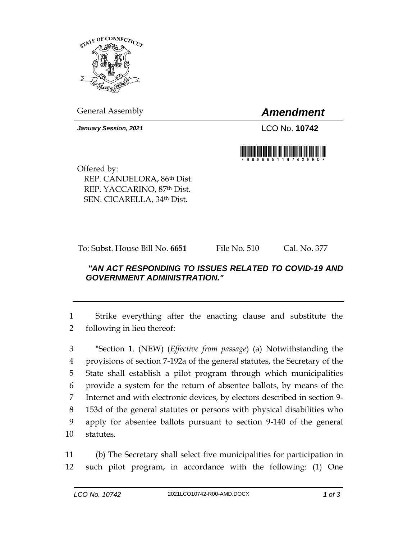

General Assembly *Amendment*

*January Session, 2021* LCO No. **10742**



Offered by: REP. CANDELORA, 86th Dist. REP. YACCARINO, 87th Dist. SEN. CICARELLA, 34th Dist.

To: Subst. House Bill No. **6651** File No. 510 Cal. No. 377

## *"AN ACT RESPONDING TO ISSUES RELATED TO COVID-19 AND GOVERNMENT ADMINISTRATION."*

1 Strike everything after the enacting clause and substitute the 2 following in lieu thereof:

 "Section 1. (NEW) (*Effective from passage*) (a) Notwithstanding the provisions of section 7-192a of the general statutes, the Secretary of the State shall establish a pilot program through which municipalities provide a system for the return of absentee ballots, by means of the Internet and with electronic devices, by electors described in section 9- 153d of the general statutes or persons with physical disabilities who apply for absentee ballots pursuant to section 9-140 of the general statutes.

11 (b) The Secretary shall select five municipalities for participation in 12 such pilot program, in accordance with the following: (1) One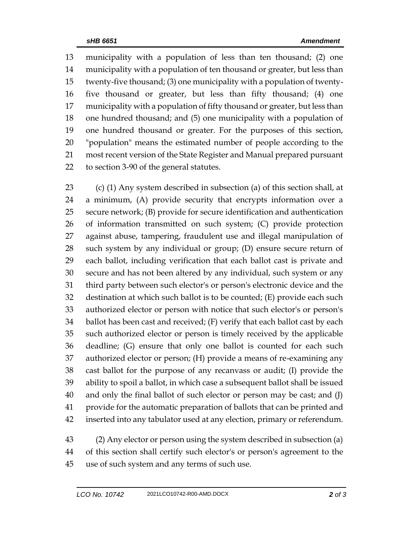municipality with a population of less than ten thousand; (2) one municipality with a population of ten thousand or greater, but less than twenty-five thousand; (3) one municipality with a population of twenty- five thousand or greater, but less than fifty thousand; (4) one municipality with a population of fifty thousand or greater, but less than one hundred thousand; and (5) one municipality with a population of one hundred thousand or greater. For the purposes of this section, "population" means the estimated number of people according to the most recent version of the State Register and Manual prepared pursuant to section 3-90 of the general statutes.

 (c) (1) Any system described in subsection (a) of this section shall, at a minimum, (A) provide security that encrypts information over a secure network; (B) provide for secure identification and authentication of information transmitted on such system; (C) provide protection against abuse, tampering, fraudulent use and illegal manipulation of such system by any individual or group; (D) ensure secure return of each ballot, including verification that each ballot cast is private and secure and has not been altered by any individual, such system or any third party between such elector's or person's electronic device and the destination at which such ballot is to be counted; (E) provide each such authorized elector or person with notice that such elector's or person's ballot has been cast and received; (F) verify that each ballot cast by each such authorized elector or person is timely received by the applicable deadline; (G) ensure that only one ballot is counted for each such authorized elector or person; (H) provide a means of re-examining any cast ballot for the purpose of any recanvass or audit; (I) provide the ability to spoil a ballot, in which case a subsequent ballot shall be issued and only the final ballot of such elector or person may be cast; and (J) provide for the automatic preparation of ballots that can be printed and inserted into any tabulator used at any election, primary or referendum.

 (2) Any elector or person using the system described in subsection (a) of this section shall certify such elector's or person's agreement to the use of such system and any terms of such use.